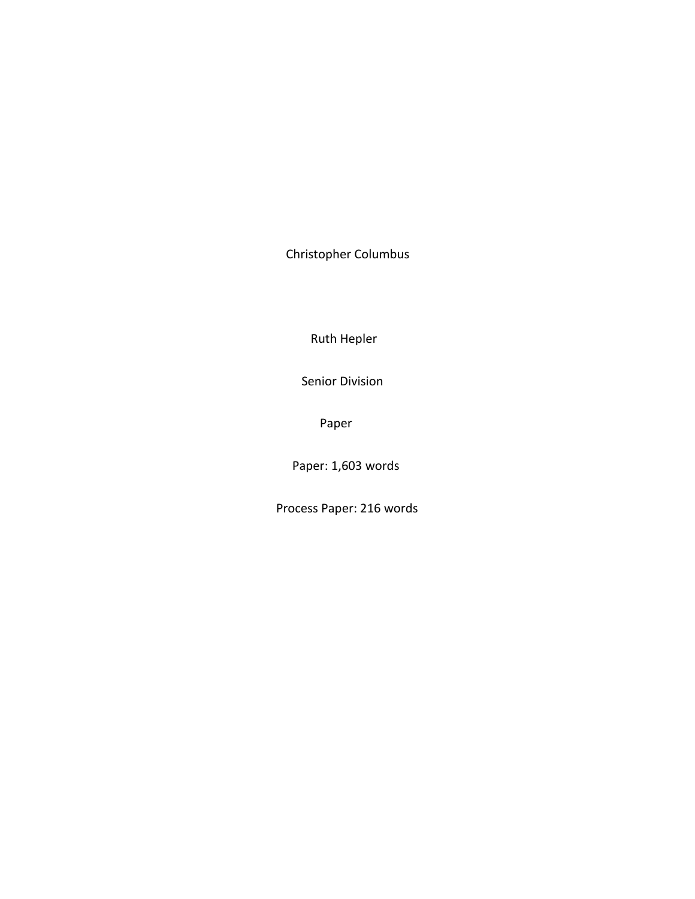Christopher Columbus

Ruth Hepler

Senior Division

Paper

Paper: 1,603 words

Process Paper: 216 words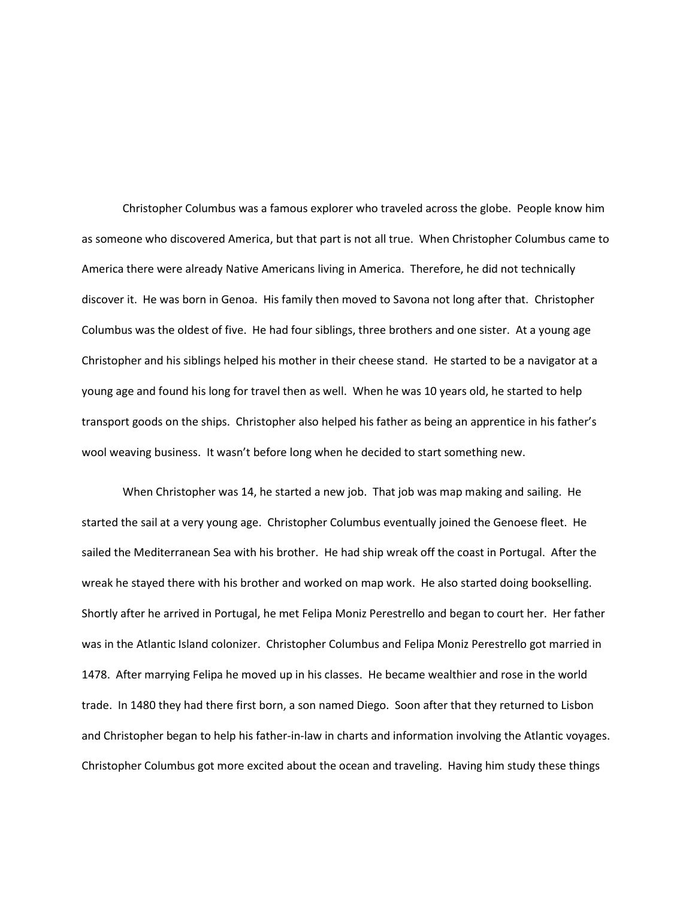Christopher Columbus was a famous explorer who traveled across the globe. People know him as someone who discovered America, but that part is not all true. When Christopher Columbus came to America there were already Native Americans living in America. Therefore, he did not technically discover it. He was born in Genoa. His family then moved to Savona not long after that. Christopher Columbus was the oldest of five. He had four siblings, three brothers and one sister. At a young age Christopher and his siblings helped his mother in their cheese stand. He started to be a navigator at a young age and found his long for travel then as well. When he was 10 years old, he started to help transport goods on the ships. Christopher also helped his father as being an apprentice in his father's wool weaving business. It wasn't before long when he decided to start something new.

When Christopher was 14, he started a new job. That job was map making and sailing. He started the sail at a very young age. Christopher Columbus eventually joined the Genoese fleet. He sailed the Mediterranean Sea with his brother. He had ship wreak off the coast in Portugal. After the wreak he stayed there with his brother and worked on map work. He also started doing bookselling. Shortly after he arrived in Portugal, he met Felipa Moniz Perestrello and began to court her. Her father was in the Atlantic Island colonizer. Christopher Columbus and Felipa Moniz Perestrello got married in 1478. After marrying Felipa he moved up in his classes. He became wealthier and rose in the world trade. In 1480 they had there first born, a son named Diego. Soon after that they returned to Lisbon and Christopher began to help his father-in-law in charts and information involving the Atlantic voyages. Christopher Columbus got more excited about the ocean and traveling. Having him study these things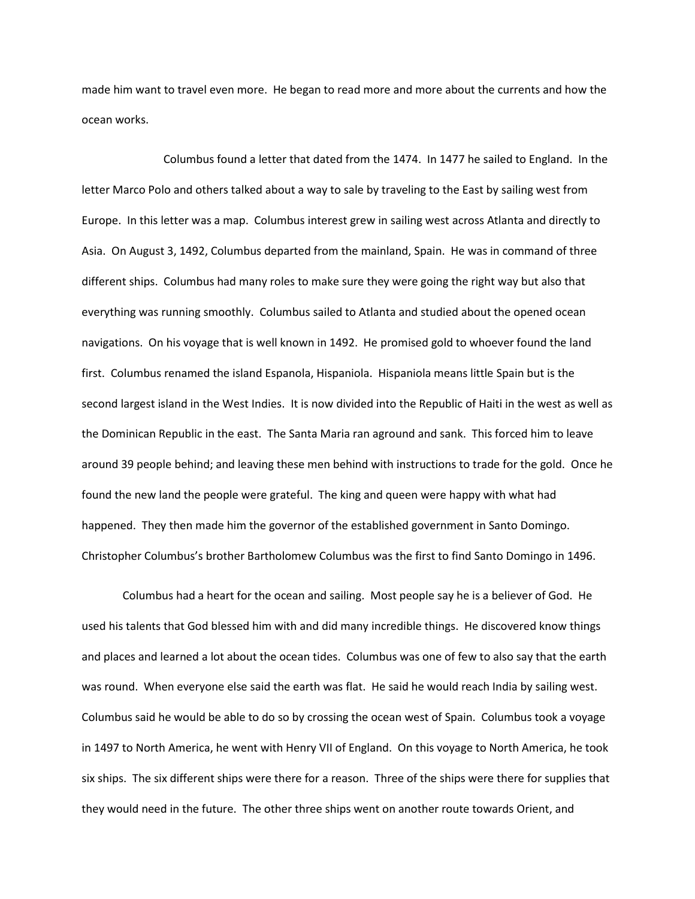made him want to travel even more. He began to read more and more about the currents and how the ocean works.

Columbus found a letter that dated from the 1474. In 1477 he sailed to England. In the letter Marco Polo and others talked about a way to sale by traveling to the East by sailing west from Europe. In this letter was a map. Columbus interest grew in sailing west across Atlanta and directly to Asia. On August 3, 1492, Columbus departed from the mainland, Spain. He was in command of three different ships. Columbus had many roles to make sure they were going the right way but also that everything was running smoothly. Columbus sailed to Atlanta and studied about the opened ocean navigations. On his voyage that is well known in 1492. He promised gold to whoever found the land first. Columbus renamed the island Espanola, Hispaniola. Hispaniola means little Spain but is the second largest island in the West Indies. It is now divided into the Republic of Haiti in the west as well as the Dominican Republic in the east. The Santa Maria ran aground and sank. This forced him to leave around 39 people behind; and leaving these men behind with instructions to trade for the gold. Once he found the new land the people were grateful. The king and queen were happy with what had happened. They then made him the governor of the established government in Santo Domingo. Christopher Columbus's brother Bartholomew Columbus was the first to find Santo Domingo in 1496.

Columbus had a heart for the ocean and sailing. Most people say he is a believer of God. He used his talents that God blessed him with and did many incredible things. He discovered know things and places and learned a lot about the ocean tides. Columbus was one of few to also say that the earth was round. When everyone else said the earth was flat. He said he would reach India by sailing west. Columbus said he would be able to do so by crossing the ocean west of Spain. Columbus took a voyage in 1497 to North America, he went with Henry VII of England. On this voyage to North America, he took six ships. The six different ships were there for a reason. Three of the ships were there for supplies that they would need in the future. The other three ships went on another route towards Orient, and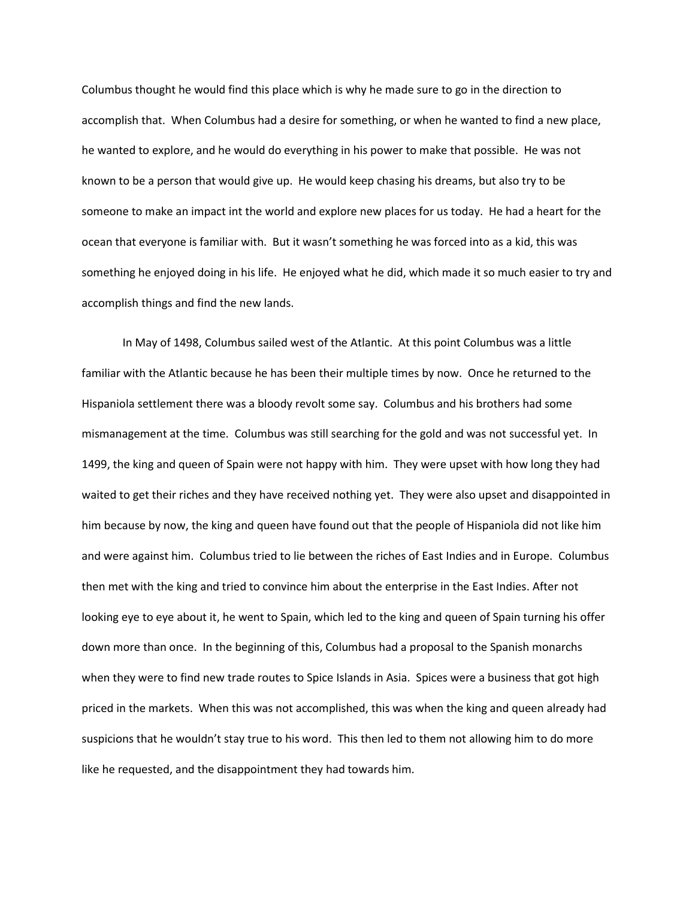Columbus thought he would find this place which is why he made sure to go in the direction to accomplish that. When Columbus had a desire for something, or when he wanted to find a new place, he wanted to explore, and he would do everything in his power to make that possible. He was not known to be a person that would give up. He would keep chasing his dreams, but also try to be someone to make an impact int the world and explore new places for us today. He had a heart for the ocean that everyone is familiar with. But it wasn't something he was forced into as a kid, this was something he enjoyed doing in his life. He enjoyed what he did, which made it so much easier to try and accomplish things and find the new lands.

In May of 1498, Columbus sailed west of the Atlantic. At this point Columbus was a little familiar with the Atlantic because he has been their multiple times by now. Once he returned to the Hispaniola settlement there was a bloody revolt some say. Columbus and his brothers had some mismanagement at the time. Columbus was still searching for the gold and was not successful yet. In 1499, the king and queen of Spain were not happy with him. They were upset with how long they had waited to get their riches and they have received nothing yet. They were also upset and disappointed in him because by now, the king and queen have found out that the people of Hispaniola did not like him and were against him. Columbus tried to lie between the riches of East Indies and in Europe. Columbus then met with the king and tried to convince him about the enterprise in the East Indies. After not looking eye to eye about it, he went to Spain, which led to the king and queen of Spain turning his offer down more than once. In the beginning of this, Columbus had a proposal to the Spanish monarchs when they were to find new trade routes to Spice Islands in Asia. Spices were a business that got high priced in the markets. When this was not accomplished, this was when the king and queen already had suspicions that he wouldn't stay true to his word. This then led to them not allowing him to do more like he requested, and the disappointment they had towards him.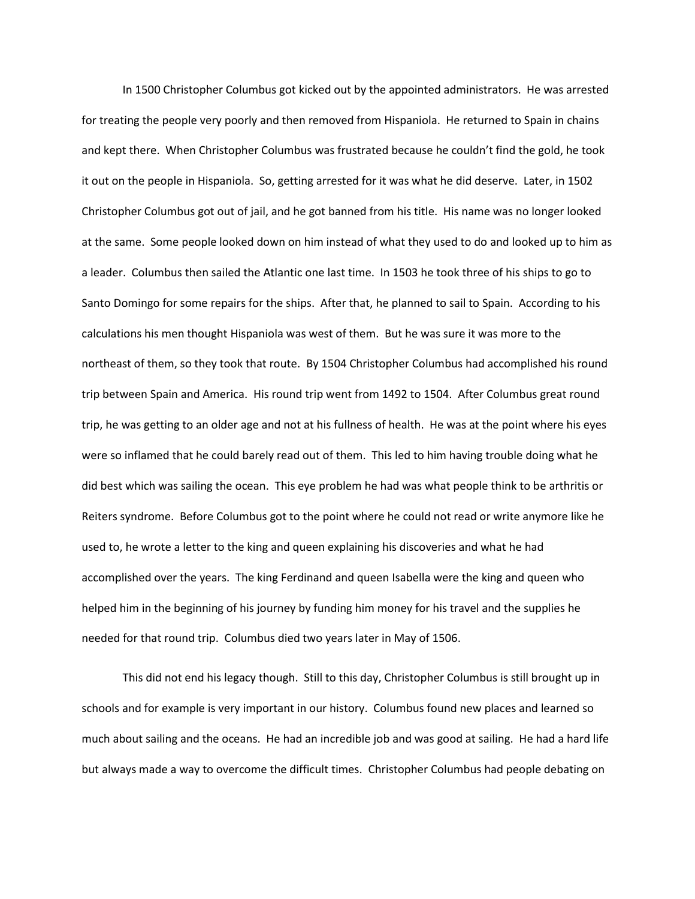In 1500 Christopher Columbus got kicked out by the appointed administrators. He was arrested for treating the people very poorly and then removed from Hispaniola. He returned to Spain in chains and kept there. When Christopher Columbus was frustrated because he couldn't find the gold, he took it out on the people in Hispaniola. So, getting arrested for it was what he did deserve. Later, in 1502 Christopher Columbus got out of jail, and he got banned from his title. His name was no longer looked at the same. Some people looked down on him instead of what they used to do and looked up to him as a leader. Columbus then sailed the Atlantic one last time. In 1503 he took three of his ships to go to Santo Domingo for some repairs for the ships. After that, he planned to sail to Spain. According to his calculations his men thought Hispaniola was west of them. But he was sure it was more to the northeast of them, so they took that route. By 1504 Christopher Columbus had accomplished his round trip between Spain and America. His round trip went from 1492 to 1504. After Columbus great round trip, he was getting to an older age and not at his fullness of health. He was at the point where his eyes were so inflamed that he could barely read out of them. This led to him having trouble doing what he did best which was sailing the ocean. This eye problem he had was what people think to be arthritis or Reiters syndrome. Before Columbus got to the point where he could not read or write anymore like he used to, he wrote a letter to the king and queen explaining his discoveries and what he had accomplished over the years. The king Ferdinand and queen Isabella were the king and queen who helped him in the beginning of his journey by funding him money for his travel and the supplies he needed for that round trip. Columbus died two years later in May of 1506.

This did not end his legacy though. Still to this day, Christopher Columbus is still brought up in schools and for example is very important in our history. Columbus found new places and learned so much about sailing and the oceans. He had an incredible job and was good at sailing. He had a hard life but always made a way to overcome the difficult times. Christopher Columbus had people debating on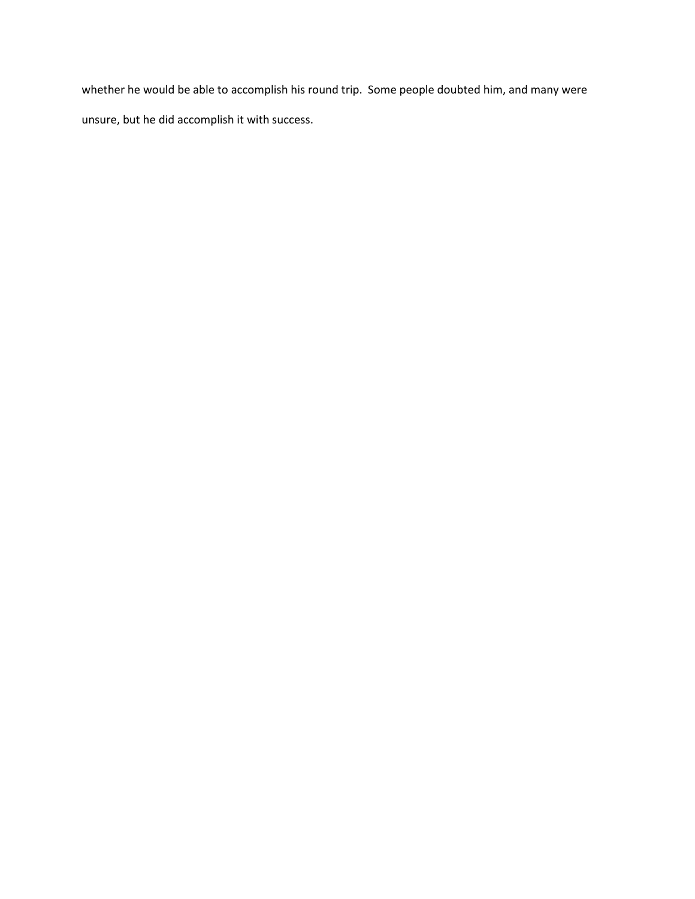whether he would be able to accomplish his round trip. Some people doubted him, and many were unsure, but he did accomplish it with success.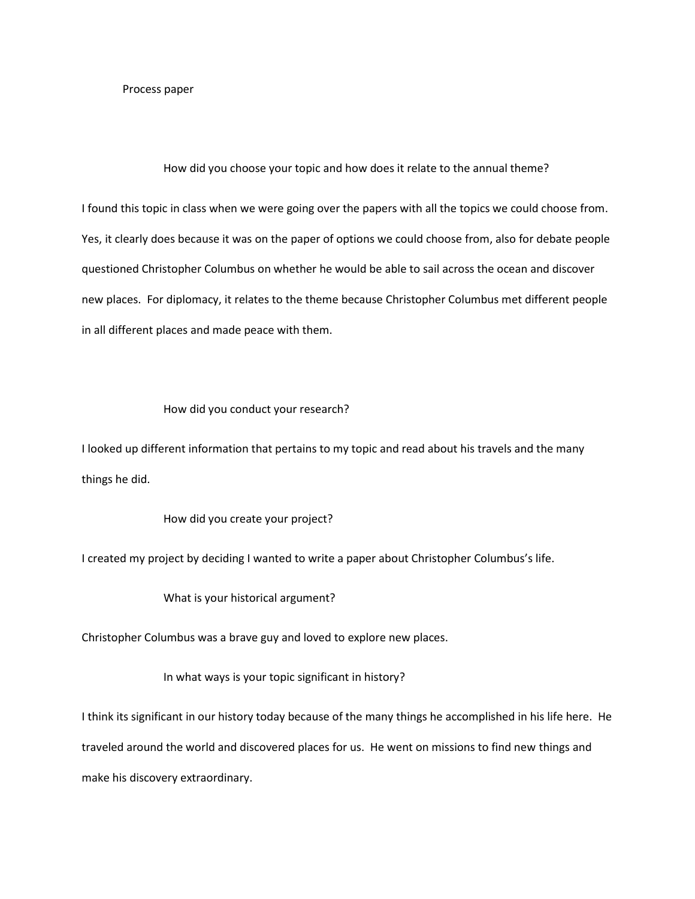## Process paper

## How did you choose your topic and how does it relate to the annual theme?

I found this topic in class when we were going over the papers with all the topics we could choose from. Yes, it clearly does because it was on the paper of options we could choose from, also for debate people questioned Christopher Columbus on whether he would be able to sail across the ocean and discover new places. For diplomacy, it relates to the theme because Christopher Columbus met different people in all different places and made peace with them.

## How did you conduct your research?

I looked up different information that pertains to my topic and read about his travels and the many things he did.

## How did you create your project?

I created my project by deciding I wanted to write a paper about Christopher Columbus's life.

What is your historical argument?

Christopher Columbus was a brave guy and loved to explore new places.

In what ways is your topic significant in history?

I think its significant in our history today because of the many things he accomplished in his life here. He traveled around the world and discovered places for us. He went on missions to find new things and make his discovery extraordinary.